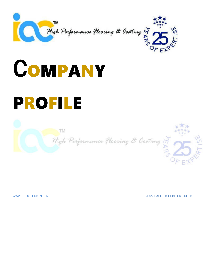







WWW.EPOXYFLOORS.NET.IN GENERAL CORROSION CONTROLLERS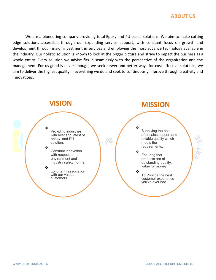#### *ABOUT US ABOUT US ABOUT US ABOUT US ABOUT US ABOUT US ABOUT US ABOUT US ABOUT US ABOUT US ABOUT US ABOUT US ABOUT US ABOUT US ABOUT US ABOUT US ABOUT US ABOUT US ABOUT US ABOUT US ABOUT US ABOUT US ABOUT US ABOUT US ABOU*

We are a pioneering company providing total Epoxy and PU based solutions. We aim to make cutting edge solutions accessible through our expanding service support, with constant focus on growth and development through major investment in services and employing the most advance technology available in the industry. Our holistic solution is known to look at the bigger picture and strive to impact the business as a whole entity. Every solution we advise fits in seamlessly with the perspective of the organization and the management. For us good is never enough, we seek newer and better ways for cost effective solutions, we aim to deliver the highest quality in everything we do and seek to continuously improve through creativity and innovations.

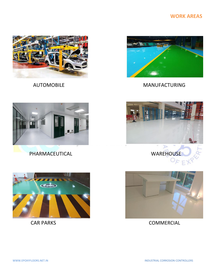#### **WORK AREAS**









AUTOMOBILE MANUFACTURING





CAR PARKS COMMERCIAL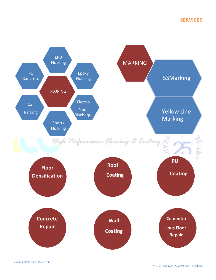#### **SERVICES**

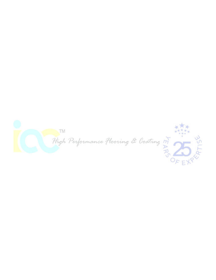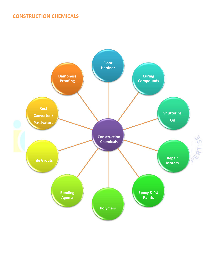## **CONSTRUCTION CHEMICALS**

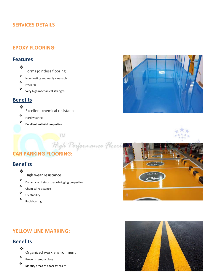#### **SERVICES DETAILS**

#### **EPOXY FLOORING:**

#### **Features**

- ❖ Forms jointless flooring
- ❖ Non dusting and easily cleanable
- ❖ Hygienic
- ❖ Very high mechanical strength

#### **Benefits**

- ❖
	- Excellent chemical resistance

TM

- ❖ Hard wearing
- ❖ Excellent antiskid properties

# **CAR PARKING FLOORING:**

## **Benefits**

- ❖
	- High wear resistance
- ❖ Dynamic and static crack-bridging properties
- ❖ Chemical resistance
- ❖ UV stability
- ❖ Rapid-curing

### **YELLOW LINE MARKING:**

#### **Benefits**

- ❖
- Organized work environment



❖ Identify areas of a facility easily





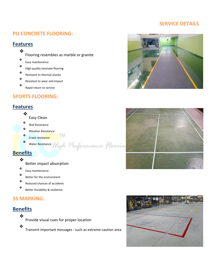#### **SERVICE DETAILS**

### **PU CONCRETE FLOORING:**

#### **Features**

- ❖ Flooring resembles as marble or granite
- ❖ Easy maintenance
- ❖ High quality laminate flooring
- ❖ Resistant to thermal shocks
- ❖ Resistant to wear and impact
- ❖ Rapid return to service

#### **SPORTS FLOORING:**

#### **Features**

- ❖ Easy Clean
- ❖ Skid Resistance
- ❖ Weather Resistance
- Crack resistance

TM

❖ Water Resistance High Performance Hoorin

#### **Benefits**

- ❖ Better impact absorption
- ❖ Easy maintenance
- ❖ Better for the environment
- ❖ Reduced chances of accidents
- ❖ Better Durability & resilience

### **5S MARKING:**

## **Benefits**

- ❖
- Provide visual cues for proper location
- ❖

Transmit important messages - such as extreme caution area





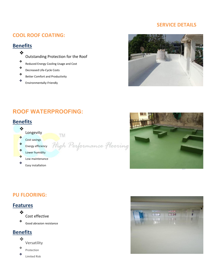#### **SERVICE DETAILS**

#### **COOL ROOF COATING:**

## **Benefits**

- ❖ Outstanding Protection for the Roof
- ❖ Reduced Energy Cooling Usage and Cost
- ❖ Decreased Life-Cycle Costs
- ❖ Better Comfort and Productivity <br>◆  $\cdot$  ... Fixedly
- ❖ Environmentally-Friendly



# **ROOF WATERPROOFING:**





## **PU FLOORING:**

#### **Features**

#### ❖

- Cost effective
- ❖ Good abrasion resistance

#### **Benefits**

- ❖ Versatility
- ❖ Protection
- ❖ Limited Risk

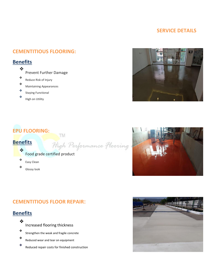#### **SERVICE DETAILS**

#### **CEMENTITIOUS FLOORING:**

#### **Benefits**

- ❖ Prevent Further Damage
- ❖ Reduce Risk of Injury
- ❖ Maintaining Appearances
- ❖ Staying Functional
- ❖ High on Utility



# **EPU FLOORING:**

#### **Benefits**

❖

High Performance Hooring Food grade certified product

 $\blacksquare$  TM

- ❖ Easy Clean
- ❖ Glossy look



### **CEMENTITIOUS FLOOR REPAIR:**

### **Benefits**

- ❖
	- Increased flooring thickness
- ❖ Strengthen the weak and fragile concrete
- ❖ Reduced wear and tear on equipment
- ❖ Reduced repair costs for finished construction